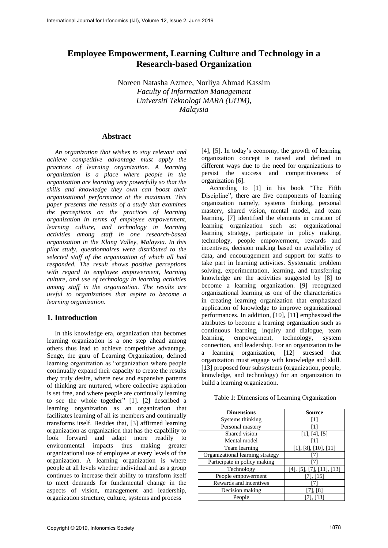# **Employee Empowerment, Learning Culture and Technology in a Research-based Organization**

Noreen Natasha Azmee, Norliya Ahmad Kassim *Faculty of Information Management Universiti Teknologi MARA (UiTM), Malaysia*

## **Abstract**

*An organization that wishes to stay relevant and achieve competitive advantage must apply the practices of learning organization. A learning organization is a place where people in the organization are learning very powerfully so that the skills and knowledge they own can boost their organizational performance at the maximum. This paper presents the results of a study that examines the perceptions on the practices of learning organization in terms of employee empowerment, learning culture, and technology in learning activities among staff in one research-based organization in the Klang Valley, Malaysia. In this pilot study, questionnaires were distributed to the selected staff of the organization of which all had responded. The result shows positive perceptions with regard to employee empowerment, learning culture, and use of technology in learning activities among staff in the organization. The results are useful to organizations that aspire to become a learning organization.*

# **1. Introduction**

In this knowledge era, organization that becomes learning organization is a one step ahead among others thus lead to achieve competitive advantage. Senge, the guru of Learning Organization, defined learning organization as "organization where people continually expand their capacity to create the results they truly desire, where new and expansive patterns of thinking are nurtured, where collective aspiration is set free, and where people are continually learning to see the whole together" [1]. [2] described a learning organization as an organization that facilitates learning of all its members and continually transforms itself. Besides that, [3] affirmed learning organization as organization that has the capability to look forward and adapt more readily to environmental impacts thus making greater organizational use of employee at every levels of the organization. A learning organization is where people at all levels whether individual and as a group continues to increase their ability to transform itself to meet demands for fundamental change in the aspects of vision, management and leadership, organization structure, culture, systems and process

[4], [5]. In today's economy, the growth of learning organization concept is raised and defined in different ways due to the need for organizations to persist the success and competitiveness of organization [6].

According to [1] in his book "The Fifth Discipline", there are five components of learning organization namely, systems thinking, personal mastery, shared vision, mental model, and team learning. [7] identified the elements in creation of learning organization such as: organizational learning strategy, participate in policy making, technology, people empowerment, rewards and incentives, decision making based on availability of data, and encouragement and support for staffs to take part in learning activities. Systematic problem solving, experimentation, learning, and transferring knowledge are the activities suggested by [8] to become a learning organization. [9] recognized organizational learning as one of the characteristics in creating learning organization that emphasized application of knowledge to improve organizational performances. In addition, [10], [11] emphasized the attributes to become a learning organization such as continuous learning, inquiry and dialogue, team learning, empowerment, technology, system connection, and leadership. For an organization to be a learning organization, [12] stressed that organization must engage with knowledge and skill. [13] proposed four subsystems (organization, people, knowledge, and technology) for an organization to build a learning organization.

| Table 1: Dimensions of Learning Organization |  |  |  |  |  |  |  |  |
|----------------------------------------------|--|--|--|--|--|--|--|--|
|----------------------------------------------|--|--|--|--|--|--|--|--|

| <b>Dimensions</b>                | <b>Source</b>             |
|----------------------------------|---------------------------|
| Systems thinking                 | 1                         |
| Personal mastery                 |                           |
| Shared vision                    | [1], [4], [5]             |
| Mental model                     |                           |
| Team learning                    | [1], [8], [10], [11]      |
| Organizational learning strategy |                           |
| Participate in policy making     |                           |
| Technology                       | [4], [5], [7], [11], [13] |
| People empowerment               | [7], [15]                 |
| Rewards and incentives           |                           |
| Decision making                  | $\lceil 8 \rceil$         |
| People                           |                           |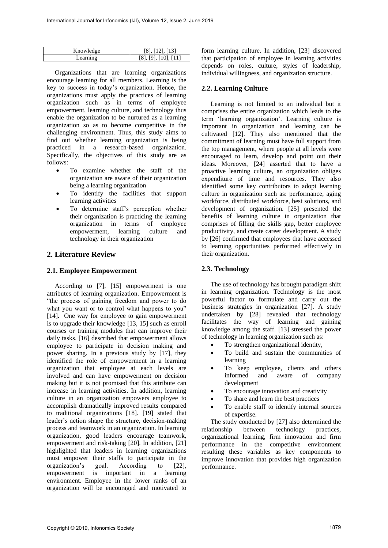| Knowledge    | [12] [13] |
|--------------|-----------|
| $--min$      | v         |
| $\mathbf{A}$ | $\cdot$   |

Organizations that are learning organizations encourage learning for all members. Learning is the key to success in today's organization. Hence, the organizations must apply the practices of learning organization such as in terms of employee empowerment, learning culture, and technology thus enable the organization to be nurtured as a learning organization so as to become competitive in the challenging environment. Thus, this study aims to find out whether learning organization is being practiced in a research-based organization. Specifically, the objectives of this study are as follows:

- To examine whether the staff of the organization are aware of their organization being a learning organization
- To identify the facilities that support learning activities
- To determine staff's perception whether their organization is practicing the learning organization in terms of employee empowerment, learning culture and technology in their organization

# **2. Literature Review**

## **2.1. Employee Empowerment**

According to [7], [15] empowerment is one attributes of learning organization. Empowerment is "the process of gaining freedom and power to do what you want or to control what happens to you" [14]. One way for employee to gain empowerment is to upgrade their knowledge [13, 15] such as enroll courses or training modules that can improve their daily tasks. [16] described that empowerment allows employee to participate in decision making and power sharing. In a previous study by [17], they identified the role of empowerment in a learning organization that employee at each levels are involved and can have empowerment on decision making but it is not promised that this attribute can increase in learning activities. In addition, learning culture in an organization empowers employee to accomplish dramatically improved results compared to traditional organizations [18]. [19] stated that leader's action shape the structure, decision-making process and teamwork in an organization. In learning organization, good leaders encourage teamwork, empowerment and risk-taking [20]. In addition, [21] highlighted that leaders in learning organizations must empower their staffs to participate in the organization's goal. According to [22], empowerment is important in a learning environment. Employee in the lower ranks of an organization will be encouraged and motivated to

form learning culture. In addition, [23] discovered that participation of employee in learning activities depends on roles, culture, styles of leadership, individual willingness, and organization structure.

# **2.2. Learning Culture**

Learning is not limited to an individual but it comprises the entire organization which leads to the term 'learning organization'. Learning culture is important in organization and learning can be cultivated [12]. They also mentioned that the commitment of learning must have full support from the top management, where people at all levels were encouraged to learn, develop and point out their ideas. Moreover, [24] asserted that to have a proactive learning culture, an organization obliges expenditure of time and resources. They also identified some key contributors to adopt learning culture in organization such as: performance, aging workforce, distributed workforce, best solutions, and development of organization. [25] presented the benefits of learning culture in organization that comprises of filling the skills gap, better employee productivity, and create career development. A study by [26] confirmed that employees that have accessed to learning opportunities performed effectively in their organization.

# **2.3. Technology**

The use of technology has brought paradigm shift in learning organization. Technology is the most powerful factor to formulate and carry out the business strategies in organization [27]. A study undertaken by [28] revealed that technology facilitates the way of learning and gaining knowledge among the staff. [13] stressed the power of technology in learning organization such as:

- To strengthen organizational identity,
- To build and sustain the communities of learning
- To keep employee, clients and others informed and aware of company development
- To encourage innovation and creativity
- To share and learn the best practices
- To enable staff to identify internal sources of expertise.

The study conducted by [27] also determined the relationship between technology practices, organizational learning, firm innovation and firm performance in the competitive environment resulting these variables as key components to improve innovation that provides high organization performance.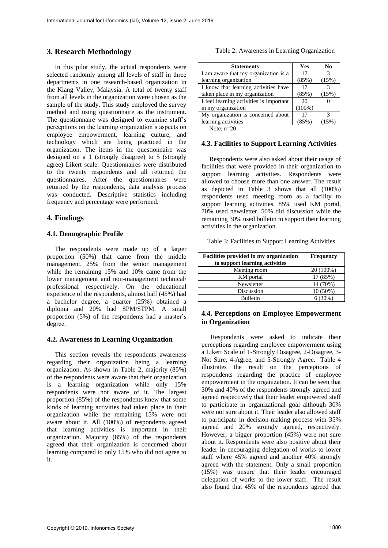# **3. Research Methodology**

In this pilot study, the actual respondents were selected randomly among all levels of staff in three departments in one research-based organization in the Klang Valley, Malaysia. A total of twenty staff from all levels in the organization were chosen as the sample of the study. This study employed the survey method and using questionnaire as the instrument. The questionnaire was designed to examine staff's perceptions on the learning organization's aspects on employee empowerment, learning culture, and technology which are being practiced in the organization. The items in the questionnaire was designed on a 1 (strongly disagree) to 5 (strongly agree) Likert scale. Questionnaires were distributed to the twenty respondents and all returned the questionnaires. After the questionnaires were returned by the respondents, data analysis process was conducted. Descriptive statistics including frequency and percentage were performed.

## **4. Findings**

#### **4.1. Demographic Profile**

The respondents were made up of a larger proportion (50%) that came from the middle management, 25% from the senior management while the remaining 15% and 10% came from the lower management and non-management technical/ professional respectively. On the educational experience of the respondents, almost half (45%) had a bachelor degree, a quarter (25%) obtained a diploma and 20% had SPM/STPM. A small proportion (5%) of the respondents had a master's degree.

## **4.2. Awareness in Learning Organization**

This section reveals the respondents awareness regarding their organization being a learning organization. As shown in Table 2, majority (85%) of the respondents were aware that their organization is a learning organization while only 15% respondents were not aware of it. The largest proportion (85%) of the respondents knew that some kinds of learning activities had taken place in their organization while the remaining 15% were not aware about it. All (100%) of respondents agreed that learning activities is important in their organization. Majority (85%) of the respondents agreed that their organization is concerned about learning compared to only 15% who did not agree to it.

Table 2: Awareness in Learning Organization

| <b>Statements</b>                       | Yes       | N <sub>0</sub> |
|-----------------------------------------|-----------|----------------|
| I am aware that my organization is a    | 17        | $\mathcal{R}$  |
| learning organization                   | (85%)     | (15%)          |
| I know that learning activities have    | 17        |                |
| taken place in my organization          | (85%)     | (15%)          |
| I feel learning activities is important | 20        |                |
| in my organization                      | $(100\%)$ |                |
| My organization is concerned about      | 17        |                |
| learning activities                     | (85%)     | 15%            |

Note: n=20

#### **4.3. Facilities to Support Learning Activities**

Respondents were also asked about their usage of facilities that were provided in their organization to support learning activities. Respondents were allowed to choose more than one answer. The result as depicted in Table 3 shows that all (100%) respondents used meeting room as a facility to support learning activities, 85% used KM portal, 70% used newsletter, 50% did discussion while the remaining 30% used bulletin to support their learning activities in the organization.

Table 3: Facilities to Support Learning Activities

| Facilities provided in my organization | <b>Frequency</b> |
|----------------------------------------|------------------|
| to support learning activities         |                  |
| Meeting room                           | 20 (100%)        |
| KM portal                              | 17 (85%)         |
| Newsletter                             | 14 (70%)         |
| Discussion                             | 10 (50%)         |
| <b>Bulletin</b>                        | 6(30%)           |

## **4.4. Perceptions on Employee Empowerment in Organization**

Respondents were asked to indicate their perceptions regarding employee empowerment using a Likert Scale of 1-Strongly Disagree, 2-Disagree, 3- Not Sure, 4-Agree, and 5-Strongly Agree. Table 4 illustrates the result on the perceptions of respondents regarding the practice of employee empowerment in the organization. It can be seen that 30% and 40% of the respondents strongly agreed and agreed respectively that their leader empowered staff to participate in organizational goal although 30% were not sure about it. Their leader also allowed staff to participate in decision-making process with 35% agreed and 20% strongly agreed, respectively. However, a bigger proportion (45%) were not sure about it. Respondents were also positive about their leader in encouraging delegation of works to lower staff where 45% agreed and another 40% strongly agreed with the statement. Only a small proportion (15%) was unsure that their leader encouraged delegation of works to the lower staff. The result also found that 45% of the respondents agreed that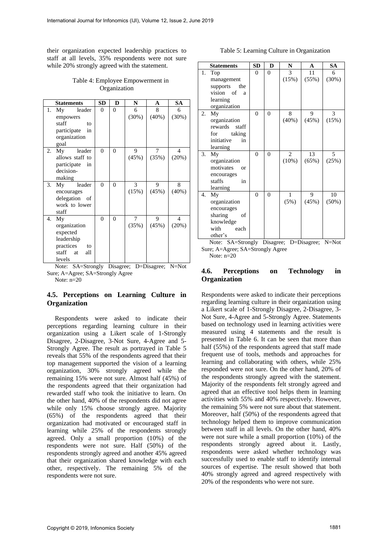their organization expected leadership practices to staff at all levels, 35% respondents were not sure while 20% strongly agreed with the statement.

Table 4: Employee Empowerment in Organization

|    | <b>Statements</b> | <b>SD</b> | D              | N     | A     | <b>SA</b>                |
|----|-------------------|-----------|----------------|-------|-------|--------------------------|
| 1. | Mv<br>leader      | 0         | 0              | 6     | 8     | 6                        |
|    | empowers          |           |                | (30%) | (40%) | (30%)                    |
|    | staff<br>to       |           |                |       |       |                          |
|    | participate<br>in |           |                |       |       |                          |
|    | organization      |           |                |       |       |                          |
|    | goal              |           |                |       |       |                          |
| 2. | My<br>leader      | 0         | $\overline{0}$ | 9     | 7     | $\overline{\mathcal{A}}$ |
|    | allows staff to   |           |                | (45%) | (35%) | (20%)                    |
|    | participate in    |           |                |       |       |                          |
|    | decision-         |           |                |       |       |                          |
|    | making            |           |                |       |       |                          |
| 3. | leader<br>My      | 0         | $\overline{0}$ | 3     | 9     | 8                        |
|    | encourages        |           |                | (15%) | (45%) | (40%)                    |
|    | delegation of     |           |                |       |       |                          |
|    | work to lower     |           |                |       |       |                          |
|    | staff             |           |                |       |       |                          |
| 4. | My                | 0         | $\overline{0}$ | 7     | 9     | $\overline{4}$           |
|    | organization      |           |                | (35%) | (45%) | (20%)                    |
|    | expected          |           |                |       |       |                          |
|    | leadership        |           |                |       |       |                          |
|    | practices<br>to   |           |                |       |       |                          |
|    | staff at<br>all   |           |                |       |       |                          |
|    | levels            |           |                |       |       |                          |

Note: SA=Strongly Disagree; D=Disagree; N=Not Sure; A=Agree; SA=Strongly Agree

### Note:  $n=20$

## **4.5. Perceptions on Learning Culture in Organization**

Respondents were asked to indicate their perceptions regarding learning culture in their organization using a Likert scale of 1-Strongly Disagree, 2-Disagree, 3-Not Sure, 4-Agree and 5- Strongly Agree. The result as portrayed in Table 5 reveals that 55% of the respondents agreed that their top management supported the vision of a learning organization, 30% strongly agreed while the remaining 15% were not sure. Almost half (45%) of the respondents agreed that their organization had rewarded staff who took the initiative to learn. On the other hand, 40% of the respondents did not agree while only 15% choose strongly agree. Majority (65%) of the respondents agreed that their organization had motivated or encouraged staff in learning while 25% of the respondents strongly agreed. Only a small proportion (10%) of the respondents were not sure. Half (50%) of the respondents strongly agreed and another 45% agreed that their organization shared knowledge with each other, respectively. The remaining 5% of the respondents were not sure.

#### Table 5: Learning Culture in Organization

|    | <b>Statements</b> | <b>SD</b>      | D              | N     | A           | <b>SA</b> |
|----|-------------------|----------------|----------------|-------|-------------|-----------|
| 1. | Top               | $\theta$       | $\overline{0}$ | 3     | 11          | 6         |
|    | management        |                |                | (15%) | (55%)       | (30%)     |
|    | supports<br>the   |                |                |       |             |           |
|    | vision of<br>a    |                |                |       |             |           |
|    | learning          |                |                |       |             |           |
|    | organization      |                |                |       |             |           |
| 2. | My                | $\overline{0}$ | $\overline{0}$ | 8     | 9           | 3         |
|    | organization      |                |                | (40%) | (45%)       | (15%)     |
|    | rewards<br>staff  |                |                |       |             |           |
|    | taking<br>for     |                |                |       |             |           |
|    | initiative<br>in  |                |                |       |             |           |
|    | learning          |                |                |       |             |           |
| 3. | My                | $\theta$       | $\theta$       | 2     | 13          | 5         |
|    | organization      |                |                | (10%) | (65%)       | (25%)     |
|    | motivates<br>or   |                |                |       |             |           |
|    | encourages        |                |                |       |             |           |
|    | staffs<br>in      |                |                |       |             |           |
|    | learning          |                |                |       |             |           |
| 4. | My                | $\theta$       | $\theta$       | 1     | 9           | 10        |
|    | organization      |                |                | (5%)  | (45%)       | (50%)     |
|    | encourages        |                |                |       |             |           |
|    | sharing<br>of     |                |                |       |             |           |
|    | knowledge         |                |                |       |             |           |
|    | with<br>each      |                |                |       |             |           |
|    | other's           |                |                |       |             |           |
|    | Note: SA=Strongly |                | Disagree;      |       | D=Disagree; | $N=Not$   |

Sure; A=Agree; SA=Strongly Agree Note:  $n=20$ 

## **4.6. Perceptions on Technology in Organization**

Respondents were asked to indicate their perceptions regarding learning culture in their organization using a Likert scale of 1-Strongly Disagree, 2-Disagree, 3- Not Sure, 4-Agree and 5-Strongly Agree. Statements based on technology used in learning activities were measured using 4 statements and the result is presented in Table 6. It can be seen that more than half (55%) of the respondents agreed that staff made frequent use of tools, methods and approaches for learning and collaborating with others, while 25% responded were not sure. On the other hand, 20% of the respondents strongly agreed with the statement. Majority of the respondents felt strongly agreed and agreed that an effective tool helps them in learning activities with 55% and 40% respectively. However, the remaining 5% were not sure about that statement. Moreover, half (50%) of the respondents agreed that technology helped them to improve communication between staff in all levels. On the other hand, 40% were not sure while a small proportion (10%) of the respondents strongly agreed about it. Lastly, respondents were asked whether technology was successfully used to enable staff to identify internal sources of expertise. The result showed that both 40% strongly agreed and agreed respectively with 20% of the respondents who were not sure.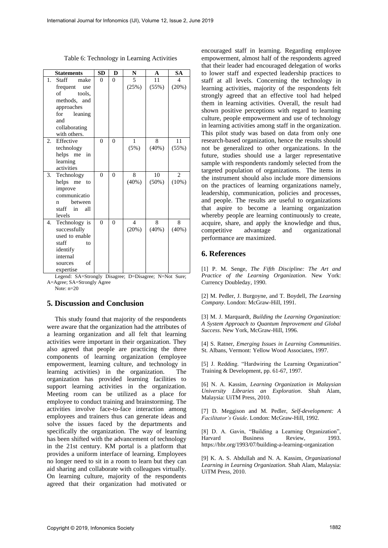| <b>Statements</b>   | <b>SD</b> | D        | N              | A              | <b>SA</b> |                |
|---------------------|-----------|----------|----------------|----------------|-----------|----------------|
| 1.<br>Staff         | make      | $\theta$ | $\theta$       | $\overline{5}$ | 11        | 4              |
| frequent            | use       |          |                | (25%)          | (55%)     | (20%)          |
| of                  | tools.    |          |                |                |           |                |
| methods, and        |           |          |                |                |           |                |
| approaches          |           |          |                |                |           |                |
| for                 | leaning   |          |                |                |           |                |
| and                 |           |          |                |                |           |                |
| collaborating       |           |          |                |                |           |                |
| with others.        |           |          |                |                |           |                |
| 2.<br>Effective     |           | $\theta$ | $\overline{0}$ | 1              | 8         | 11             |
| technology          |           |          |                | (5%)           | $(40\%)$  | (55%)          |
| helps me            | in        |          |                |                |           |                |
| learning            |           |          |                |                |           |                |
| activities          |           |          |                |                |           |                |
| 3.<br>Technology    |           | $\theta$ | $\theta$       | 8              | 10        | $\overline{c}$ |
| helps me            | to        |          |                | (40%)          | $(50\%)$  | (10%)          |
| improve             |           |          |                |                |           |                |
| communicatio        |           |          |                |                |           |                |
| n                   | between   |          |                |                |           |                |
| staff               | in<br>all |          |                |                |           |                |
| levels              |           |          |                |                |           |                |
| Technology is<br>4. |           | $\theta$ | $\theta$       | $\overline{4}$ | 8         | 8              |
| successfully        |           |          |                | (20%)          | (40%)     | (40%)          |
| used to enable      |           |          |                |                |           |                |
| staff               | to        |          |                |                |           |                |
| identify            |           |          |                |                |           |                |
| internal            |           |          |                |                |           |                |
| sources             | of        |          |                |                |           |                |
| expertise           |           |          |                |                |           |                |

Legend: SA=Strongly Disagree; D=Disagree; N=Not Sure; A=Agree; SA=Strongly Agree

Note:  $n=20$ 

# **5. Discussion and Conclusion**

This study found that majority of the respondents were aware that the organization had the attributes of a learning organization and all felt that learning activities were important in their organization. They also agreed that people are practicing the three components of learning organization (employee empowerment, learning culture, and technology in learning activities) in the organization. The organization has provided learning facilities to support learning activities in the organization. Meeting room can be utilized as a place for employee to conduct training and brainstorming. The activities involve face-to-face interaction among employees and trainers thus can generate ideas and solve the issues faced by the departments and specifically the organization. The way of learning has been shifted with the advancement of technology in the 21st century. KM portal is a platform that provides a uniform interface of learning. Employees no longer need to sit in a room to learn but they can aid sharing and collaborate with colleagues virtually. On learning culture, majority of the respondents agreed that their organization had motivated or

encouraged staff in learning. Regarding employee empowerment, almost half of the respondents agreed that their leader had encouraged delegation of works to lower staff and expected leadership practices to staff at all levels. Concerning the technology in learning activities, majority of the respondents felt strongly agreed that an effective tool had helped them in learning activities. Overall, the result had shown positive perceptions with regard to learning culture, people empowerment and use of technology in learning activities among staff in the organization. This pilot study was based on data from only one research-based organization, hence the results should not be generalized to other organizations. In the future, studies should use a larger representative sample with respondents randomly selected from the targeted population of organizations. The items in the instrument should also include more dimensions on the practices of learning organizations namely, leadership, communication, policies and processes, and people. The results are useful to organizations that aspire to become a learning organization whereby people are learning continuously to create, acquire, share, and apply the knowledge and thus, competitive advantage and organizational performance are maximized.

## **6. References**

[1] P. M. Senge, *The Fifth Discipline: The Art and Practice of the Learning Organization*. New York: Currency Doubleday, 1990.

[2] M. Pedler, J. Burgoyne, and T. Boydell, *The Learning Company*. London: McGraw-Hill, 1991.

[3] M. J. Marquardt, *Building the Learning Organization: A System Approach to Quantum Improvement and Global Success*. New York, McGraw-Hill, 1996.

[4] S. Ratner, *Emerging Issues in Learning Communities*. St. Albans, Vermont: Yellow Wood Associates, 1997.

[5] J. Redding. "Hardwiring the Learning Organization" Training & Development, pp. 61-67, 1997.

[6] N. A. Kassim, *Learning Organization in Malaysian University Libraries an Exploration*. Shah Alam, Malaysia: UiTM Press, 2010.

[7] D. Meggison and M. Pedler, *Self-development: A Facilitator's Guide*. London: McGraw-Hill, 1992.

[8] D. A. Gavin, "Building a Learning Organization", Harvard Business Review, 1993. https://hbr.org/1993/07/building-a-learning-organization

[9] K. A. S. Abdullah and N. A. Kassim, *Organizational Learning in Learning Organization.* Shah Alam, Malaysia: UiTM Press, 2010.